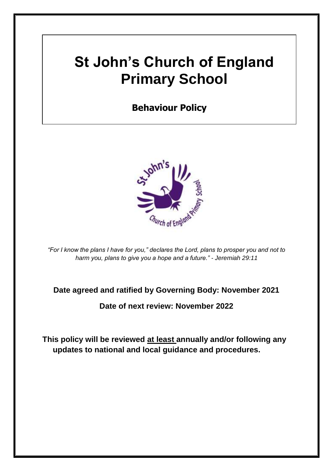# **St John's Church of England Primary School**

### **Behaviour Policy**



*"For I know the plans I have for you," declares the Lord, plans to prosper you and not to harm you, plans to give you a hope and a future." - Jeremiah 29:11*

### **Date agreed and ratified by Governing Body: November 2021**

**Date of next review: November 2022**

**This policy will be reviewed at least annually and/or following any updates to national and local guidance and procedures.**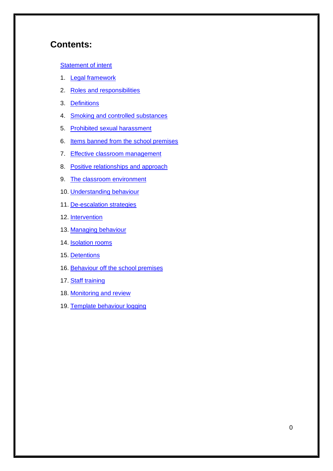### **Contents:**

#### [Statement of intent](#page-2-0)

- 1. [Legal framework](#page-3-0)
- 2. [Roles and responsibilities](#page-3-1)
- 3. [Definitions](#page-6-0)
- 4. [Smoking and controlled substances](#page-7-0)
- 5. [Prohibited sexual harassment](#page-8-0)
- 6. [Items banned from the school premises](#page-9-0)
- 7. [Effective classroom management](#page-11-0)
- 8. [Positive relationships and approach](#page-14-0)
- 9. [The classroom environment](#page-16-0)
- 10. [Understanding behaviour](#page-17-0)
- 11. [De-escalation strategies](#page-17-1)
- 12. [Intervention](#page-18-0)
- 13. [Managing behaviour](#page-19-0)
- 14. **[Isolation rooms](#page-21-0)**
- 15. [Detentions](#page-22-0)
- 16. [Behaviour off the school premises](#page-22-1)
- 17. [Staff training](#page-23-0)
- 18. [Monitoring and review](#page-24-0)
- 19. Template behaviour logging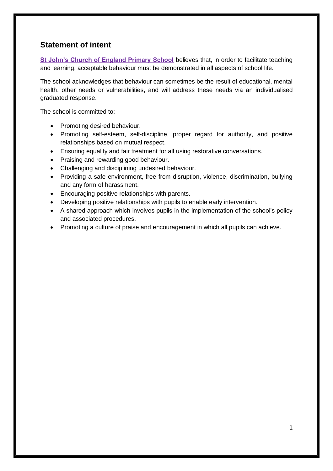### <span id="page-2-0"></span>**Statement of intent**

**St John's Church of England Primary School** believes that, in order to facilitate teaching and learning, acceptable behaviour must be demonstrated in all aspects of school life.

The school acknowledges that behaviour can sometimes be the result of educational, mental health, other needs or vulnerabilities, and will address these needs via an individualised graduated response.

The school is committed to:

- Promoting desired behaviour.
- Promoting self-esteem, self-discipline, proper regard for authority, and positive relationships based on mutual respect.
- Ensuring equality and fair treatment for all using restorative conversations.
- Praising and rewarding good behaviour.
- Challenging and disciplining undesired behaviour.
- Providing a safe environment, free from disruption, violence, discrimination, bullying and any form of harassment.
- Encouraging positive relationships with parents.
- Developing positive relationships with pupils to enable early intervention.
- A shared approach which involves pupils in the implementation of the school's policy and associated procedures.
- Promoting a culture of praise and encouragement in which all pupils can achieve.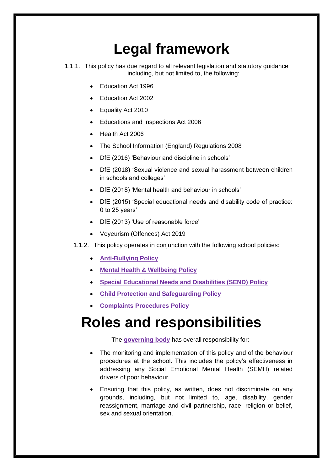# **Legal framework**

- <span id="page-3-0"></span>1.1.1. This policy has due regard to all relevant legislation and statutory guidance including, but not limited to, the following:
	- Education Act 1996
	- Education Act 2002
	- Equality Act 2010
	- Educations and Inspections Act 2006
	- Health Act 2006
	- The School Information (England) Regulations 2008
	- DfE (2016) 'Behaviour and discipline in schools'
	- DfE (2018) 'Sexual violence and sexual harassment between children in schools and colleges'
	- DfE (2018) 'Mental health and behaviour in schools'
	- DfE (2015) 'Special educational needs and disability code of practice: 0 to 25 years'
	- DfE (2013) 'Use of reasonable force'
	- Voyeurism (Offences) Act 2019
	- 1.1.2. This policy operates in conjunction with the following school policies:
		- **Anti-Bullying Policy**
		- **Mental Health & Wellbeing Policy**
		- **Special Educational Needs and Disabilities (SEND) Policy**
		- **Child Protection and Safeguarding Policy**
		- **Complaints Procedures Policy**

# <span id="page-3-1"></span>**Roles and responsibilities**

The **governing body** has overall responsibility for:

- The monitoring and implementation of this policy and of the behaviour procedures at the school. This includes the policy's effectiveness in addressing any Social Emotional Mental Health (SEMH) related drivers of poor behaviour.
- Ensuring that this policy, as written, does not discriminate on any grounds, including, but not limited to, age, disability, gender reassignment, marriage and civil partnership, race, religion or belief, sex and sexual orientation.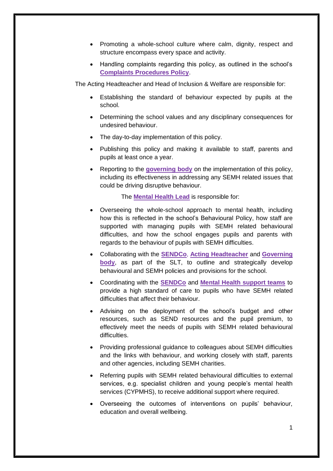- Promoting a whole-school culture where calm, dignity, respect and structure encompass every space and activity.
- Handling complaints regarding this policy, as outlined in the school's **Complaints Procedures Policy**.

The Acting Headteacher and Head of Inclusion & Welfare are responsible for:

- Establishing the standard of behaviour expected by pupils at the school.
- Determining the school values and any disciplinary consequences for undesired behaviour.
- The day-to-day implementation of this policy.
- Publishing this policy and making it available to staff, parents and pupils at least once a year.
- Reporting to the **governing body** on the implementation of this policy, including its effectiveness in addressing any SEMH related issues that could be driving disruptive behaviour.

The **Mental Health Lead** is responsible for:

- Overseeing the whole-school approach to mental health, including how this is reflected in the school's Behavioural Policy, how staff are supported with managing pupils with SEMH related behavioural difficulties, and how the school engages pupils and parents with regards to the behaviour of pupils with SEMH difficulties.
- Collaborating with the **SENDCo**, **Acting Headteacher** and **Governing body**, as part of the SLT, to outline and strategically develop behavioural and SEMH policies and provisions for the school.
- Coordinating with the **SENDCo** and **Mental Health support teams** to provide a high standard of care to pupils who have SEMH related difficulties that affect their behaviour.
- Advising on the deployment of the school's budget and other resources, such as SEND resources and the pupil premium, to effectively meet the needs of pupils with SEMH related behavioural difficulties.
- Providing professional guidance to colleagues about SEMH difficulties and the links with behaviour, and working closely with staff, parents and other agencies, including SEMH charities.
- Referring pupils with SEMH related behavioural difficulties to external services, e.g. specialist children and young people's mental health services (CYPMHS), to receive additional support where required.
- Overseeing the outcomes of interventions on pupils' behaviour, education and overall wellbeing.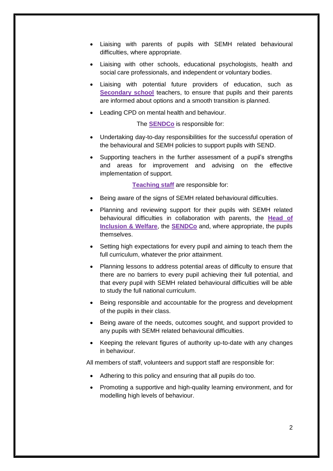- Liaising with parents of pupils with SEMH related behavioural difficulties, where appropriate.
- Liaising with other schools, educational psychologists, health and social care professionals, and independent or voluntary bodies.
- Liaising with potential future providers of education, such as **Secondary school** teachers, to ensure that pupils and their parents are informed about options and a smooth transition is planned.
- Leading CPD on mental health and behaviour.

The **SENDCo** is responsible for:

- Undertaking day-to-day responsibilities for the successful operation of the behavioural and SEMH policies to support pupils with SEND.
- Supporting teachers in the further assessment of a pupil's strengths and areas for improvement and advising on the effective implementation of support.

**Teaching staff** are responsible for:

- Being aware of the signs of SEMH related behavioural difficulties.
- Planning and reviewing support for their pupils with SEMH related behavioural difficulties in collaboration with parents, the **Head of Inclusion & Welfare**, the **SENDCo** and, where appropriate, the pupils themselves.
- Setting high expectations for every pupil and aiming to teach them the full curriculum, whatever the prior attainment.
- Planning lessons to address potential areas of difficulty to ensure that there are no barriers to every pupil achieving their full potential, and that every pupil with SEMH related behavioural difficulties will be able to study the full national curriculum.
- Being responsible and accountable for the progress and development of the pupils in their class.
- Being aware of the needs, outcomes sought, and support provided to any pupils with SEMH related behavioural difficulties.
- Keeping the relevant figures of authority up-to-date with any changes in behaviour.

All members of staff, volunteers and support staff are responsible for:

- Adhering to this policy and ensuring that all pupils do too.
- Promoting a supportive and high-quality learning environment, and for modelling high levels of behaviour.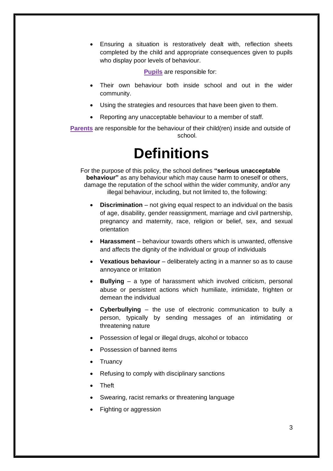Ensuring a situation is restoratively dealt with, reflection sheets completed by the child and appropriate consequences given to pupils who display poor levels of behaviour.

**Pupils** are responsible for:

- Their own behaviour both inside school and out in the wider community.
- Using the strategies and resources that have been given to them.
- Reporting any unacceptable behaviour to a member of staff.

<span id="page-6-0"></span>**Parents** are responsible for the behaviour of their child(ren) inside and outside of school.

### **Definitions**

For the purpose of this policy, the school defines **"serious unacceptable behaviour"** as any behaviour which may cause harm to oneself or others, damage the reputation of the school within the wider community, and/or any illegal behaviour, including, but not limited to, the following:

- **Discrimination** not giving equal respect to an individual on the basis of age, disability, gender reassignment, marriage and civil partnership, pregnancy and maternity, race, religion or belief, sex, and sexual orientation
- **Harassment**  behaviour towards others which is unwanted, offensive and affects the dignity of the individual or group of individuals
- **Vexatious behaviour** deliberately acting in a manner so as to cause annoyance or irritation
- **Bullying** a type of harassment which involved criticism, personal abuse or persistent actions which humiliate, intimidate, frighten or demean the individual
- **Cyberbullying** the use of electronic communication to bully a person, typically by sending messages of an intimidating or threatening nature
- Possession of legal or illegal drugs, alcohol or tobacco
- Possession of banned items
- **Truancy**
- Refusing to comply with disciplinary sanctions
- Theft
- Swearing, racist remarks or threatening language
- Fighting or aggression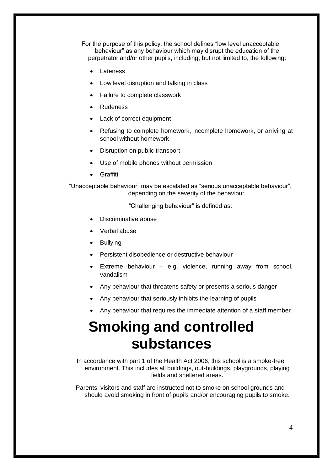For the purpose of this policy, the school defines "low level unacceptable behaviour" as any behaviour which may disrupt the education of the perpetrator and/or other pupils, including, but not limited to, the following:

- Lateness
- Low level disruption and talking in class
- Failure to complete classwork
- Rudeness
- Lack of correct equipment
- Refusing to complete homework, incomplete homework, or arriving at school without homework
- Disruption on public transport
- Use of mobile phones without permission
- Graffiti

"Unacceptable behaviour" may be escalated as "serious unacceptable behaviour", depending on the severity of the behaviour.

"Challenging behaviour" is defined as:

- Discriminative abuse
- Verbal abuse
- Bullying
- Persistent disobedience or destructive behaviour
- Extreme behaviour e.g. violence, running away from school, vandalism
- Any behaviour that threatens safety or presents a serious danger
- Any behaviour that seriously inhibits the learning of pupils
- Any behaviour that requires the immediate attention of a staff member

# <span id="page-7-0"></span>**Smoking and controlled substances**

In accordance with part 1 of the Health Act 2006, this school is a smoke-free environment. This includes all buildings, out-buildings, playgrounds, playing fields and sheltered areas.

Parents, visitors and staff are instructed not to smoke on school grounds and should avoid smoking in front of pupils and/or encouraging pupils to smoke.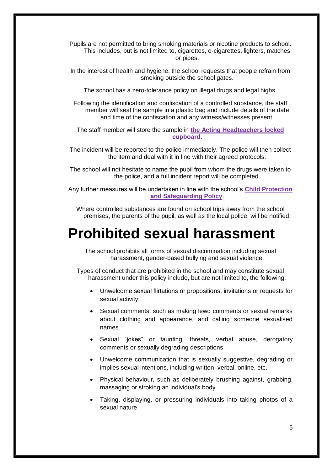Pupils are not permitted to bring smoking materials or nicotine products to school. This includes, but is not limited to, cigarettes, e-cigarettes, lighters, matches or pipes.

In the interest of health and hygiene, the school requests that people refrain from smoking outside the school gates.

The school has a zero-tolerance policy on illegal drugs and legal highs.

Following the identification and confiscation of a controlled substance, the staff member will seal the sample in a plastic bag and include details of the date and time of the confiscation and any witness/witnesses present.

The staff member will store the sample in **the Acting Headteachers locked cupboard**.

The incident will be reported to the police immediately. The police will then collect the item and deal with it in line with their agreed protocols.

The school will not hesitate to name the pupil from whom the drugs were taken to the police, and a full incident report will be completed.

Any further measures will be undertaken in line with the school's **Child Protection and Safeguarding Policy**.

Where controlled substances are found on school trips away from the school premises, the parents of the pupil, as well as the local police, will be notified.

### <span id="page-8-0"></span>**Prohibited sexual harassment**

The school prohibits all forms of sexual discrimination including sexual harassment, gender-based bullying and sexual violence.

Types of conduct that are prohibited in the school and may constitute sexual harassment under this policy include, but are not limited to, the following:

- Unwelcome sexual flirtations or propositions, invitations or requests for sexual activity
- Sexual comments, such as making lewd comments or sexual remarks about clothing and appearance, and calling someone sexualised names
- Sexual "jokes" or taunting, threats, verbal abuse, derogatory comments or sexually degrading descriptions
- Unwelcome communication that is sexually suggestive, degrading or implies sexual intentions, including written, verbal, online, etc.
- Physical behaviour, such as deliberately brushing against, grabbing, massaging or stroking an individual's body
- Taking, displaying, or pressuring individuals into taking photos of a sexual nature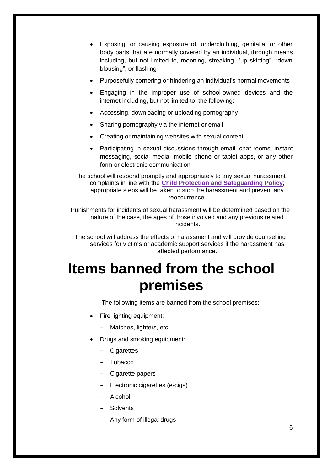- Exposing, or causing exposure of, underclothing, genitalia, or other body parts that are normally covered by an individual, through means including, but not limited to, mooning, streaking, "up skirting", "down blousing", or flashing
- Purposefully cornering or hindering an individual's normal movements
- Engaging in the improper use of school-owned devices and the internet including, but not limited to, the following:
- Accessing, downloading or uploading pornography
- Sharing pornography via the internet or email
- Creating or maintaining websites with sexual content
- Participating in sexual discussions through email, chat rooms, instant messaging, social media, mobile phone or tablet apps, or any other form or electronic communication

The school will respond promptly and appropriately to any sexual harassment complaints in line with the **Child Protection and Safeguarding Policy**; appropriate steps will be taken to stop the harassment and prevent any reoccurrence.

Punishments for incidents of sexual harassment will be determined based on the nature of the case, the ages of those involved and any previous related incidents.

The school will address the effects of harassment and will provide counselling services for victims or academic support services if the harassment has affected performance.

# <span id="page-9-0"></span>**Items banned from the school premises**

The following items are banned from the school premises:

- Fire lighting equipment:
	- Matches, lighters, etc.
- Drugs and smoking equipment:
	- Cigarettes
	- Tobacco
	- Cigarette papers
	- Electronic cigarettes (e-cigs)
	- Alcohol
	- **Solvents**
	- Any form of illegal drugs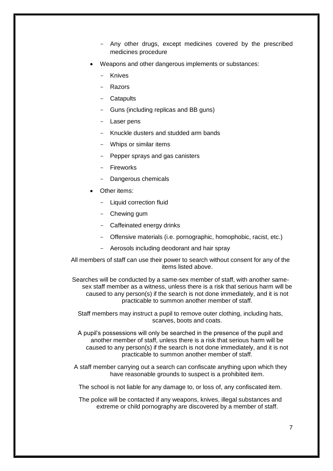- Any other drugs, except medicines covered by the prescribed medicines procedure
- Weapons and other dangerous implements or substances:
	- **Knives**
	- **Razors**
	- Catapults
	- Guns (including replicas and BB guns)
	- Laser pens
	- Knuckle dusters and studded arm bands
	- Whips or similar items
	- Pepper sprays and gas canisters
	- Fireworks
	- Dangerous chemicals
- Other items:
	- Liquid correction fluid
	- Chewing gum
	- Caffeinated energy drinks
	- Offensive materials (i.e. pornographic, homophobic, racist, etc.)
	- Aerosols including deodorant and hair spray

All members of staff can use their power to search without consent for any of the items listed above.

Searches will be conducted by a same-sex member of staff, with another samesex staff member as a witness, unless there is a risk that serious harm will be caused to any person(s) if the search is not done immediately, and it is not practicable to summon another member of staff.

Staff members may instruct a pupil to remove outer clothing, including hats, scarves, boots and coats.

A pupil's possessions will only be searched in the presence of the pupil and another member of staff, unless there is a risk that serious harm will be caused to any person(s) if the search is not done immediately, and it is not practicable to summon another member of staff.

A staff member carrying out a search can confiscate anything upon which they have reasonable grounds to suspect is a prohibited item.

The school is not liable for any damage to, or loss of, any confiscated item.

The police will be contacted if any weapons, knives, illegal substances and extreme or child pornography are discovered by a member of staff.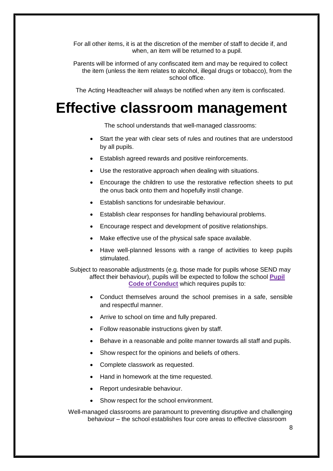For all other items, it is at the discretion of the member of staff to decide if, and when, an item will be returned to a pupil.

Parents will be informed of any confiscated item and may be required to collect the item (unless the item relates to alcohol, illegal drugs or tobacco), from the school office.

The Acting Headteacher will always be notified when any item is confiscated.

### <span id="page-11-0"></span>**Effective classroom management**

The school understands that well-managed classrooms:

- Start the year with clear sets of rules and routines that are understood by all pupils.
- Establish agreed rewards and positive reinforcements.
- Use the restorative approach when dealing with situations.
- Encourage the children to use the restorative reflection sheets to put the onus back onto them and hopefully instil change.
- Establish sanctions for undesirable behaviour.
- Establish clear responses for handling behavioural problems.
- Encourage respect and development of positive relationships.
- Make effective use of the physical safe space available.
- Have well-planned lessons with a range of activities to keep pupils stimulated.

Subject to reasonable adjustments (e.g. those made for pupils whose SEND may affect their behaviour), pupils will be expected to follow the school **Pupil Code of Conduct** which requires pupils to:

- Conduct themselves around the school premises in a safe, sensible and respectful manner.
- Arrive to school on time and fully prepared.
- Follow reasonable instructions given by staff.
- Behave in a reasonable and polite manner towards all staff and pupils.
- Show respect for the opinions and beliefs of others.
- Complete classwork as requested.
- Hand in homework at the time requested.
- Report undesirable behaviour.
- Show respect for the school environment.

Well-managed classrooms are paramount to preventing disruptive and challenging behaviour – the school establishes four core areas to effective classroom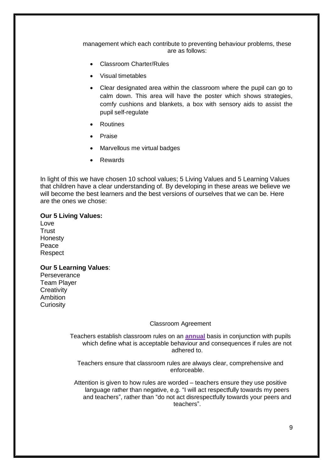management which each contribute to preventing behaviour problems, these are as follows:

- Classroom Charter/Rules
- Visual timetables
- Clear designated area within the classroom where the pupil can go to calm down. This area will have the poster which shows strategies, comfy cushions and blankets, a box with sensory aids to assist the pupil self-regulate
- Routines
- Praise
- Marvellous me virtual badges
- Rewards

In light of this we have chosen 10 school values; 5 Living Values and 5 Learning Values that children have a clear understanding of. By developing in these areas we believe we will become the best learners and the best versions of ourselves that we can be. Here are the ones we chose:

#### **Our 5 Living Values:**

Love **Trust** Honesty Peace Respect

#### **Our 5 Learning Values**:

**Perseverance** Team Player **Creativity** Ambition **Curiosity** 

#### Classroom Agreement

Teachers establish classroom rules on an **annual** basis in conjunction with pupils which define what is acceptable behaviour and consequences if rules are not adhered to.

Teachers ensure that classroom rules are always clear, comprehensive and enforceable.

Attention is given to how rules are worded – teachers ensure they use positive language rather than negative, e.g. "I will act respectfully towards my peers and teachers", rather than "do not act disrespectfully towards your peers and teachers".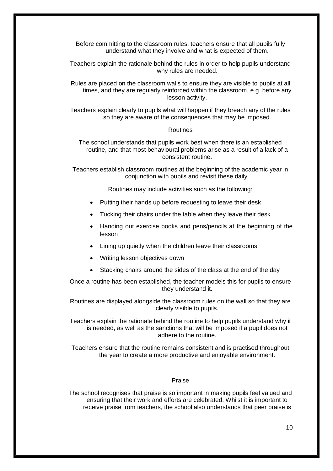Before committing to the classroom rules, teachers ensure that all pupils fully understand what they involve and what is expected of them.

Teachers explain the rationale behind the rules in order to help pupils understand why rules are needed.

Rules are placed on the classroom walls to ensure they are visible to pupils at all times, and they are regularly reinforced within the classroom, e.g. before any lesson activity.

Teachers explain clearly to pupils what will happen if they breach any of the rules so they are aware of the consequences that may be imposed.

#### Routines

The school understands that pupils work best when there is an established routine, and that most behavioural problems arise as a result of a lack of a consistent routine.

Teachers establish classroom routines at the beginning of the academic year in conjunction with pupils and revisit these daily.

Routines may include activities such as the following:

- Putting their hands up before requesting to leave their desk
- Tucking their chairs under the table when they leave their desk
- Handing out exercise books and pens/pencils at the beginning of the lesson
- Lining up quietly when the children leave their classrooms
- Writing lesson objectives down
- Stacking chairs around the sides of the class at the end of the day

Once a routine has been established, the teacher models this for pupils to ensure they understand it.

Routines are displayed alongside the classroom rules on the wall so that they are clearly visible to pupils.

Teachers explain the rationale behind the routine to help pupils understand why it is needed, as well as the sanctions that will be imposed if a pupil does not adhere to the routine.

Teachers ensure that the routine remains consistent and is practised throughout the year to create a more productive and enjoyable environment.

#### Praise

The school recognises that praise is so important in making pupils feel valued and ensuring that their work and efforts are celebrated. Whilst it is important to receive praise from teachers, the school also understands that peer praise is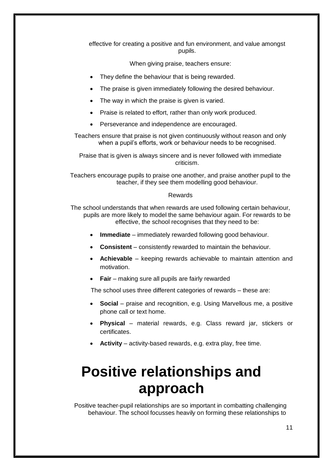effective for creating a positive and fun environment, and value amongst pupils.

When giving praise, teachers ensure:

- They define the behaviour that is being rewarded.
- The praise is given immediately following the desired behaviour.
- The way in which the praise is given is varied.
- Praise is related to effort, rather than only work produced.
- Perseverance and independence are encouraged.

Teachers ensure that praise is not given continuously without reason and only when a pupil's efforts, work or behaviour needs to be recognised.

Praise that is given is always sincere and is never followed with immediate criticism.

Teachers encourage pupils to praise one another, and praise another pupil to the teacher, if they see them modelling good behaviour.

#### Rewards

The school understands that when rewards are used following certain behaviour, pupils are more likely to model the same behaviour again. For rewards to be effective, the school recognises that they need to be:

- **Immediate** immediately rewarded following good behaviour.
- **Consistent** consistently rewarded to maintain the behaviour.
- **Achievable**  keeping rewards achievable to maintain attention and motivation.
- **Fair** making sure all pupils are fairly rewarded

The school uses three different categories of rewards – these are:

- **Social** praise and recognition, e.g. Using Marvellous me, a positive phone call or text home.
- **Physical**  material rewards, e.g. Class reward jar, stickers or certificates.
- **Activity** activity-based rewards, e.g. extra play, free time.

# <span id="page-14-0"></span>**Positive relationships and approach**

Positive teacher-pupil relationships are so important in combatting challenging behaviour. The school focusses heavily on forming these relationships to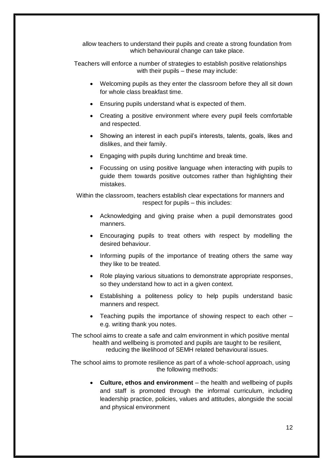allow teachers to understand their pupils and create a strong foundation from which behavioural change can take place.

Teachers will enforce a number of strategies to establish positive relationships with their pupils – these may include:

- Welcoming pupils as they enter the classroom before they all sit down for whole class breakfast time.
- Ensuring pupils understand what is expected of them.
- Creating a positive environment where every pupil feels comfortable and respected.
- Showing an interest in each pupil's interests, talents, goals, likes and dislikes, and their family.
- Engaging with pupils during lunchtime and break time.
- Focussing on using positive language when interacting with pupils to guide them towards positive outcomes rather than highlighting their mistakes.

Within the classroom, teachers establish clear expectations for manners and respect for pupils – this includes:

- Acknowledging and giving praise when a pupil demonstrates good manners.
- Encouraging pupils to treat others with respect by modelling the desired behaviour.
- Informing pupils of the importance of treating others the same way they like to be treated.
- Role playing various situations to demonstrate appropriate responses, so they understand how to act in a given context.
- Establishing a politeness policy to help pupils understand basic manners and respect.
- Teaching pupils the importance of showing respect to each other e.g. writing thank you notes.

The school aims to create a safe and calm environment in which positive mental health and wellbeing is promoted and pupils are taught to be resilient, reducing the likelihood of SEMH related behavioural issues.

The school aims to promote resilience as part of a whole-school approach, using the following methods:

 **Culture, ethos and environment** – the health and wellbeing of pupils and staff is promoted through the informal curriculum, including leadership practice, policies, values and attitudes, alongside the social and physical environment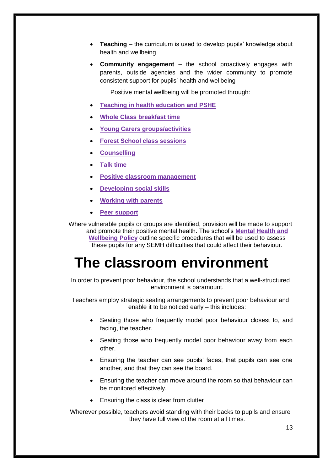- **Teaching** the curriculum is used to develop pupils' knowledge about health and wellbeing
- **Community engagement**  the school proactively engages with parents, outside agencies and the wider community to promote consistent support for pupils' health and wellbeing

Positive mental wellbeing will be promoted through:

- **Teaching in health education and PSHE**
- **Whole Class breakfast time**
- **Young Carers groups/activities**
- **Forest School class sessions**
- **Counselling**
- **Talk time**
- **Positive classroom management**
- **Developing social skills**
- **Working with parents**
- **Peer support**

Where vulnerable pupils or groups are identified, provision will be made to support and promote their positive mental health. The school's **Mental Health and Wellbeing Policy** outline specific procedures that will be used to assess these pupils for any SEMH difficulties that could affect their behaviour.

### <span id="page-16-0"></span>**The classroom environment**

In order to prevent poor behaviour, the school understands that a well-structured environment is paramount.

Teachers employ strategic seating arrangements to prevent poor behaviour and enable it to be noticed early – this includes:

- Seating those who frequently model poor behaviour closest to, and facing, the teacher.
- Seating those who frequently model poor behaviour away from each other.
- Ensuring the teacher can see pupils' faces, that pupils can see one another, and that they can see the board.
- Ensuring the teacher can move around the room so that behaviour can be monitored effectively.
- Ensuring the class is clear from clutter

Wherever possible, teachers avoid standing with their backs to pupils and ensure they have full view of the room at all times.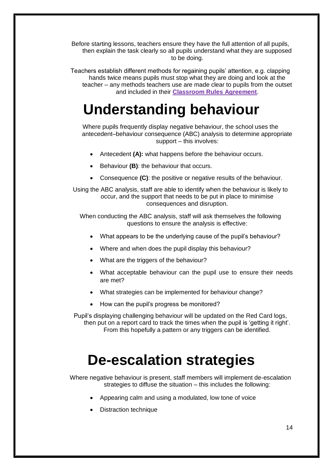Before starting lessons, teachers ensure they have the full attention of all pupils, then explain the task clearly so all pupils understand what they are supposed to be doing.

Teachers establish different methods for regaining pupils' attention, e.g. clapping hands twice means pupils must stop what they are doing and look at the teacher – any methods teachers use are made clear to pupils from the outset and included in their **Classroom Rules Agreement**.

# <span id="page-17-0"></span>**Understanding behaviour**

Where pupils frequently display negative behaviour, the school uses the antecedent–behaviour consequence (ABC) analysis to determine appropriate support – this involves:

- Antecedent **(A):** what happens before the behaviour occurs.
- Behaviour **(B)**: the behaviour that occurs.
- Consequence **(C)**: the positive or negative results of the behaviour.

Using the ABC analysis, staff are able to identify when the behaviour is likely to occur, and the support that needs to be put in place to minimise consequences and disruption.

When conducting the ABC analysis, staff will ask themselves the following questions to ensure the analysis is effective:

- What appears to be the underlying cause of the pupil's behaviour?
- Where and when does the pupil display this behaviour?
- What are the triggers of the behaviour?
- What acceptable behaviour can the pupil use to ensure their needs are met?
- What strategies can be implemented for behaviour change?
- How can the pupil's progress be monitored?

Pupil's displaying challenging behaviour will be updated on the Red Card logs, then put on a report card to track the times when the pupil is 'getting it right'. From this hopefully a pattern or any triggers can be identified.

# **De-escalation strategies**

<span id="page-17-1"></span>Where negative behaviour is present, staff members will implement de-escalation strategies to diffuse the situation – this includes the following:

- Appearing calm and using a modulated, low tone of voice
- Distraction technique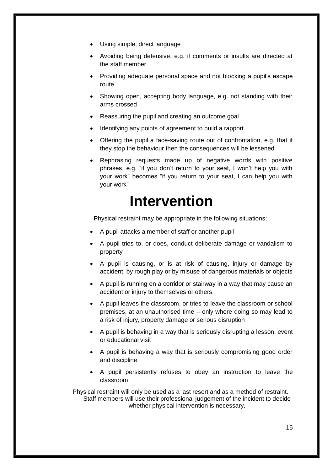- Using simple, direct language
- Avoiding being defensive, e.g. if comments or insults are directed at the staff member
- Providing adequate personal space and not blocking a pupil's escape route
- Showing open, accepting body language, e.g. not standing with their arms crossed
- Reassuring the pupil and creating an outcome goal
- Identifying any points of agreement to build a rapport
- Offering the pupil a face-saving route out of confrontation, e.g. that if they stop the behaviour then the consequences will be lessened
- Rephrasing requests made up of negative words with positive phrases, e.g. "if you don't return to your seat, I won't help you with your work" becomes "if you return to your seat, I can help you with your work"

### **Intervention**

<span id="page-18-0"></span>Physical restraint may be appropriate in the following situations:

- A pupil attacks a member of staff or another pupil
- A pupil tries to, or does, conduct deliberate damage or vandalism to property
- A pupil is causing, or is at risk of causing, injury or damage by accident, by rough play or by misuse of dangerous materials or objects
- A pupil is running on a corridor or stairway in a way that may cause an accident or injury to themselves or others
- A pupil leaves the classroom, or tries to leave the classroom or school premises, at an unauthorised time – only where doing so may lead to a risk of injury, property damage or serious disruption
- A pupil is behaving in a way that is seriously disrupting a lesson, event or educational visit
- A pupil is behaving a way that is seriously compromising good order and discipline
- A pupil persistently refuses to obey an instruction to leave the classroom

Physical restraint will only be used as a last resort and as a method of restraint. Staff members will use their professional judgement of the incident to decide whether physical intervention is necessary.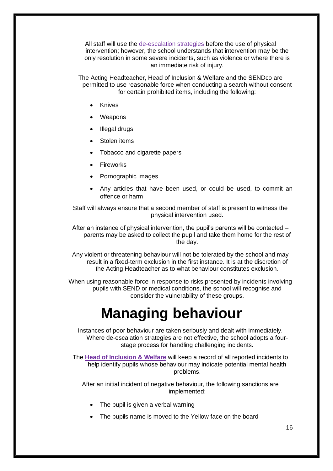All staff will use the [de-escalation strategies](#page-17-1) before the use of physical intervention; however, the school understands that intervention may be the only resolution in some severe incidents, such as violence or where there is an immediate risk of injury.

The Acting Headteacher, Head of Inclusion & Welfare and the SENDco are permitted to use reasonable force when conducting a search without consent for certain prohibited items, including the following:

- Knives
- Weapons
- Illegal drugs
- Stolen items
- Tobacco and cigarette papers
- Fireworks
- Pornographic images
- Any articles that have been used, or could be used, to commit an offence or harm

Staff will always ensure that a second member of staff is present to witness the physical intervention used.

After an instance of physical intervention, the pupil's parents will be contacted – parents may be asked to collect the pupil and take them home for the rest of the day.

Any violent or threatening behaviour will not be tolerated by the school and may result in a fixed-term exclusion in the first instance. It is at the discretion of the Acting Headteacher as to what behaviour constitutes exclusion.

<span id="page-19-0"></span>When using reasonable force in response to risks presented by incidents involving pupils with SEND or medical conditions, the school will recognise and consider the vulnerability of these groups.

# **Managing behaviour**

Instances of poor behaviour are taken seriously and dealt with immediately. Where de-escalation strategies are not effective, the school adopts a fourstage process for handling challenging incidents.

The **Head of Inclusion & Welfare** will keep a record of all reported incidents to help identify pupils whose behaviour may indicate potential mental health problems.

After an initial incident of negative behaviour, the following sanctions are implemented:

- The pupil is given a verbal warning
- The pupils name is moved to the Yellow face on the board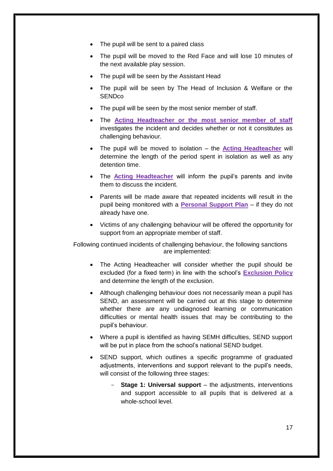- The pupil will be sent to a paired class
- The pupil will be moved to the Red Face and will lose 10 minutes of the next available play session.
- The pupil will be seen by the Assistant Head
- The pupil will be seen by The Head of Inclusion & Welfare or the **SENDco**
- The pupil will be seen by the most senior member of staff.
- The **Acting Headteacher or the most senior member of staff** investigates the incident and decides whether or not it constitutes as challenging behaviour.
- The pupil will be moved to isolation the **Acting Headteacher** will determine the length of the period spent in isolation as well as any detention time.
- The **Acting Headteacher** will inform the pupil's parents and invite them to discuss the incident.
- Parents will be made aware that repeated incidents will result in the pupil being monitored with a **Personal Support Plan** – if they do not already have one.
- Victims of any challenging behaviour will be offered the opportunity for support from an appropriate member of staff.

Following continued incidents of challenging behaviour, the following sanctions are implemented:

- The Acting Headteacher will consider whether the pupil should be excluded (for a fixed term) in line with the school's **Exclusion Policy** and determine the length of the exclusion.
- Although challenging behaviour does not necessarily mean a pupil has SEND, an assessment will be carried out at this stage to determine whether there are any undiagnosed learning or communication difficulties or mental health issues that may be contributing to the pupil's behaviour.
- Where a pupil is identified as having SEMH difficulties, SEND support will be put in place from the school's national SEND budget.
- SEND support, which outlines a specific programme of graduated adjustments, interventions and support relevant to the pupil's needs, will consist of the following three stages:
	- **Stage 1: Universal support** the adjustments, interventions and support accessible to all pupils that is delivered at a whole-school level.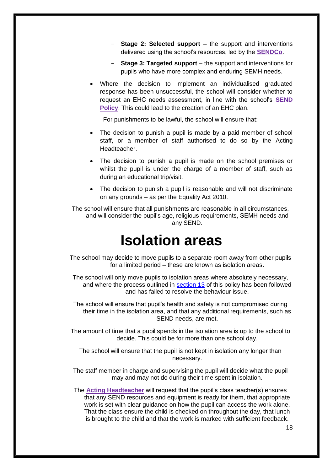- **Stage 2: Selected support** the support and interventions delivered using the school's resources, led by the **SENDCo**.
- **Stage 3: Targeted support** the support and interventions for pupils who have more complex and enduring SEMH needs.
- Where the decision to implement an individualised graduated response has been unsuccessful, the school will consider whether to request an EHC needs assessment, in line with the school's **SEND Policy**. This could lead to the creation of an EHC plan.

For punishments to be lawful, the school will ensure that:

- The decision to punish a pupil is made by a paid member of school staff, or a member of staff authorised to do so by the Acting Headteacher.
- The decision to punish a pupil is made on the school premises or whilst the pupil is under the charge of a member of staff, such as during an educational trip/visit.
- The decision to punish a pupil is reasonable and will not discriminate on any grounds – as per the Equality Act 2010.

The school will ensure that all punishments are reasonable in all circumstances, and will consider the pupil's age, religious requirements, SEMH needs and any SEND.

### **Isolation areas**

<span id="page-21-0"></span>The school may decide to move pupils to a separate room away from other pupils for a limited period – these are known as isolation areas.

The school will only move pupils to isolation areas where absolutely necessary, and where the process outlined in [section 13](#page-19-0) of this policy has been followed and has failed to resolve the behaviour issue.

The school will ensure that pupil's health and safety is not compromised during their time in the isolation area, and that any additional requirements, such as SEND needs, are met.

The amount of time that a pupil spends in the isolation area is up to the school to decide. This could be for more than one school day.

The school will ensure that the pupil is not kept in isolation any longer than necessary.

The staff member in charge and supervising the pupil will decide what the pupil may and may not do during their time spent in isolation.

The **Acting Headteacher** will request that the pupil's class teacher(s) ensures that any SEND resources and equipment is ready for them, that appropriate work is set with clear guidance on how the pupil can access the work alone. That the class ensure the child is checked on throughout the day, that lunch is brought to the child and that the work is marked with sufficient feedback.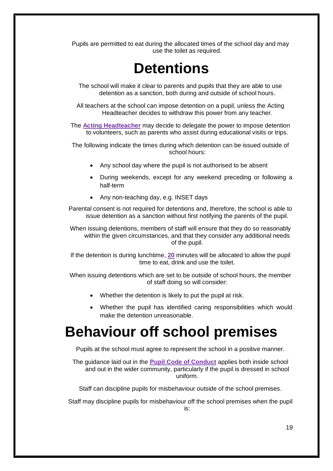<span id="page-22-0"></span>Pupils are permitted to eat during the allocated times of the school day and may use the toilet as required.

# **Detentions**

The school will make it clear to parents and pupils that they are able to use detention as a sanction, both during and outside of school hours.

All teachers at the school can impose detention on a pupil, unless the Acting Headteacher decides to withdraw this power from any teacher.

The **Acting Headteacher** may decide to delegate the power to impose detention to volunteers, such as parents who assist during educational visits or trips.

The following indicate the times during which detention can be issued outside of school hours:

- Any school day where the pupil is not authorised to be absent
- During weekends, except for any weekend preceding or following a half-term
- Any non-teaching day, e.g. INSET days

Parental consent is not required for detentions and, therefore, the school is able to issue detention as a sanction without first notifying the parents of the pupil.

When issuing detentions, members of staff will ensure that they do so reasonably within the given circumstances, and that they consider any additional needs of the pupil.

If the detention is during lunchtime, **20** minutes will be allocated to allow the pupil time to eat, drink and use the toilet.

When issuing detentions which are set to be outside of school hours, the member of staff doing so will consider:

- Whether the detention is likely to put the pupil at risk.
- Whether the pupil has identified caring responsibilities which would make the detention unreasonable.

### <span id="page-22-1"></span>**Behaviour off school premises**

Pupils at the school must agree to represent the school in a positive manner.

The guidance laid out in the **Pupil Code of Conduct** applies both inside school and out in the wider community, particularly if the pupil is dressed in school uniform.

Staff can discipline pupils for misbehaviour outside of the school premises.

Staff may discipline pupils for misbehaviour off the school premises when the pupil is: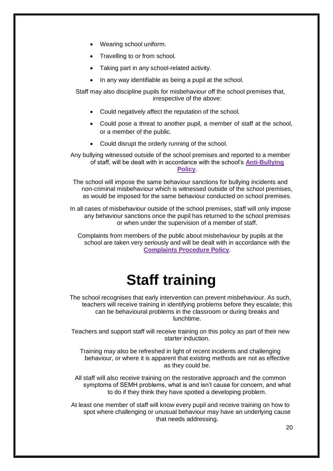- Wearing school uniform.
- Travelling to or from school.
- Taking part in any school-related activity.
- In any way identifiable as being a pupil at the school.

Staff may also discipline pupils for misbehaviour off the school premises that, irrespective of the above:

- Could negatively affect the reputation of the school.
- Could pose a threat to another pupil, a member of staff at the school, or a member of the public.
- Could disrupt the orderly running of the school.

Any bullying witnessed outside of the school premises and reported to a member of staff, will be dealt with in accordance with the school's **Anti-Bullying Policy**.

The school will impose the same behaviour sanctions for bullying incidents and non-criminal misbehaviour which is witnessed outside of the school premises, as would be imposed for the same behaviour conducted on school premises.

In all cases of misbehaviour outside of the school premises, staff will only impose any behaviour sanctions once the pupil has returned to the school premises or when under the supervision of a member of staff.

Complaints from members of the public about misbehaviour by pupils at the school are taken very seriously and will be dealt with in accordance with the **Complaints Procedure Policy**.

# **Staff training**

<span id="page-23-0"></span>The school recognises that early intervention can prevent misbehaviour. As such, teachers will receive training in identifying problems before they escalate; this can be behavioural problems in the classroom or during breaks and lunchtime.

Teachers and support staff will receive training on this policy as part of their new starter induction.

Training may also be refreshed in light of recent incidents and challenging behaviour, or where it is apparent that existing methods are not as effective as they could be.

All staff will also receive training on the restorative approach and the common symptoms of SEMH problems, what is and isn't cause for concern, and what to do if they think they have spotted a developing problem.

At least one member of staff will know every pupil and receive training on how to spot where challenging or unusual behaviour may have an underlying cause that needs addressing.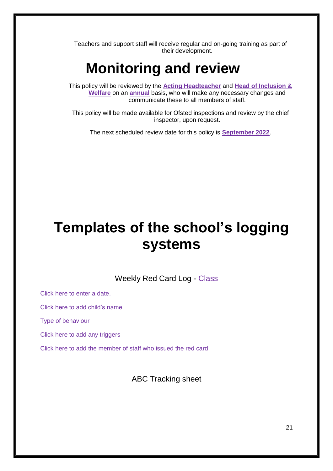Teachers and support staff will receive regular and on-going training as part of their development.

## **Monitoring and review**

<span id="page-24-0"></span>This policy will be reviewed by the **Acting Headteacher** and **Head of Inclusion & Welfare** on an **annual** basis, who will make any necessary changes and communicate these to all members of staff.

This policy will be made available for Ofsted inspections and review by the chief inspector, upon request.

The next scheduled review date for this policy is **September 2022**.

## **Templates of the school's logging systems**

Weekly Red Card Log - Class

Click here to enter a date.

Click here to add child's name

Type of behaviour

Click here to add any triggers

Click here to add the member of staff who issued the red card

ABC Tracking sheet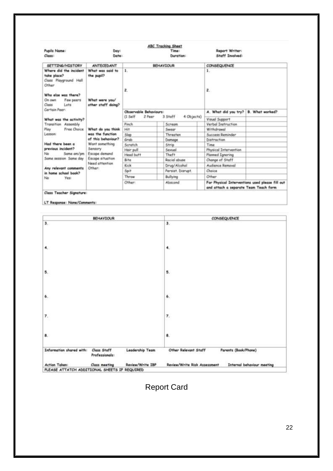| Pupils Name:                                                            | Day:                           |                        | <b>ABC Tracking Sheet</b><br>Time: | <b>Report Writer:</b>                                                                    |                 |
|-------------------------------------------------------------------------|--------------------------------|------------------------|------------------------------------|------------------------------------------------------------------------------------------|-----------------|
| Class:                                                                  | Date:                          |                        | Duration:                          | Staff Involved:                                                                          |                 |
| SETTING/HISTORY                                                         | <b>ANTECEDANT</b>              |                        | <b>BEHAVIOUR</b>                   | CONSEQUENCE                                                                              |                 |
| Where did the incident<br>take place?<br>Class Playground Hall<br>Other | What was said to<br>the pupil? | $\mathbf{1}$<br>ž.     |                                    | 1.<br>$\overline{z}$                                                                     |                 |
| Who else was there?<br>Few peers<br>On own                              | What were you/                 |                        |                                    |                                                                                          |                 |
| Lots<br>Closs<br>Certain Peer:                                          | other staff doing?             | Observable Behaviours: |                                    | A. What did you try?                                                                     | B. What worked? |
| What was the activity?                                                  |                                | $(1$ Self<br>2 Peer    | 3 Staff<br>4 Objects)              | Visual Support                                                                           |                 |
| Transition Assembly                                                     |                                | Pinch                  | Scream                             | Verbal Instruction                                                                       |                 |
| Free Choice<br>Play                                                     | What do you think              | Hit                    | Swear                              | Withdrawal                                                                               |                 |
| Lesson:                                                                 | was the function               | Slap                   | Threaten                           | <b>Success Reminder</b>                                                                  |                 |
|                                                                         | of this behaviour?             | Grab                   | Damage                             | Distraction                                                                              |                 |
| Had there been a                                                        | Want something                 | Scratch                | Strip                              | Time                                                                                     |                 |
| previous incident?                                                      | Sensory                        | Hair pull              | Sexual                             | Physical Intervention                                                                    |                 |
| Same any/pm<br>No.                                                      | Escape demand                  | Head butt              | Theft                              | <b>Planned Ignoring</b>                                                                  |                 |
| Same session Same day                                                   | Escape situation               | Bite                   | Racial abuse                       | Change of Staff                                                                          |                 |
|                                                                         | Need attention                 | Kick                   | Drug/Alcohol                       | Audience Removal                                                                         |                 |
| Any relevant comments<br>in home school book?                           | Other:                         | Spit                   | Persist. Disrupt.                  | Choice                                                                                   |                 |
| Yes:<br>No                                                              |                                | Throw                  | Bullying                           | Other                                                                                    |                 |
|                                                                         |                                | Other:<br>Abscond      |                                    | For Physical Interventions used please fill out<br>and attach a separate Team Teach form |                 |
| Class Teacher Signature:                                                |                                |                        |                                    |                                                                                          |                 |

LT Response: None/Comments

|                                              | <b>BEHAVIOUR</b>                     |                  | CONSEQUENCE                                                       |
|----------------------------------------------|--------------------------------------|------------------|-------------------------------------------------------------------|
| 3.                                           |                                      |                  | 3.                                                                |
| 4 <sub>1</sub>                               |                                      |                  | 4.                                                                |
| 5.                                           |                                      |                  | 5.                                                                |
| $\pmb{6}$ .                                  |                                      |                  | 6.                                                                |
| 7.                                           |                                      |                  | $\pmb{\tau}$                                                      |
| 8.                                           |                                      |                  | 8.                                                                |
| Information shared with:                     | <b>Class Staff</b><br>Professionals: | Leadership Team  | Other Relevant Staff<br>Parents (Book/Phone)                      |
| <b>Action Taken:</b>                         | <b>Class meeting</b>                 | Review/Write IBP | <b>Review/Write Risk Assessment</b><br>Internal behaviour meeting |
| PLEASE ATTATCH ADDITIONAL SHEETS IF REQUIRED |                                      |                  |                                                                   |

### Report Card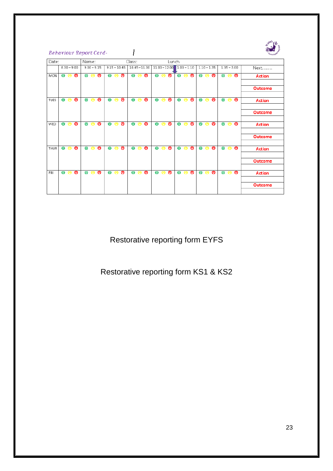|             | <b>Behaviour Report Card-</b> |   |           |                   |         |           |     |                |                 |                     |         |           |           |                 |               |   |   |           |               |           |                   | John's,            |
|-------------|-------------------------------|---|-----------|-------------------|---------|-----------|-----|----------------|-----------------|---------------------|---------|-----------|-----------|-----------------|---------------|---|---|-----------|---------------|-----------|-------------------|--------------------|
| Date:       |                               |   | Name:     |                   |         |           |     |                | Class:          |                     |         |           |           | Lunch           |               |   |   |           |               |           |                   |                    |
|             | $8.30 - 9.00$                 |   |           | $9.00 - 9.15$     |         |           |     | $9.15 - 10.45$ | $10.45 - 11.00$ |                     |         |           |           | $11.00 - 12.00$ | $1.00 - 1.10$ |   |   |           | $1.10 - 1.35$ |           | $1.35 - 3.00$     | Next               |
| <b>MON</b>  | $\bullet$<br>A                | ౚ |           | $\Theta$ $\Theta$ | ⊜       |           | e e | ౚ              |                 | $\bullet$ $\bullet$ | ⊜       | $\bullet$ | $\bullet$ | ⊜               | $\bullet$     | A | ⊜ | $\bullet$ | ⊜<br>⊜        | $\bullet$ | $\bullet$         | ⊜<br><b>Action</b> |
|             |                               |   |           |                   |         |           |     |                |                 |                     |         |           |           |                 |               |   |   |           |               |           |                   | Outcome            |
|             |                               |   |           |                   |         |           |     |                |                 |                     |         |           |           |                 |               |   |   |           |               |           |                   |                    |
| TUES        | $\bullet$<br>a                | ౚ | $\bullet$ | e                 | ⊜       | $\bullet$ | e   | ౚ              | $\bullet$       | ⊜                   | ౚ       | $\bullet$ | e         | ౚ               | $\bullet$     | e | ⊜ | $\bullet$ | ⊜<br>⊜        | $\bullet$ | ⊜                 | ⊜<br><b>Action</b> |
|             |                               |   |           |                   |         |           |     |                |                 |                     |         |           |           |                 |               |   |   |           |               |           |                   | Outcome            |
| WED         | $\bullet$<br>a                | ⊜ |           | QQ                | $\circ$ | Θ         | e   | ⊜              | $\bullet$       | ⊜                   | $\circ$ | $\bullet$ | ⊜         | $\circ$         | Θ             | a | ⊜ | $\bullet$ | $\circ$<br>Θ  | $\bullet$ | ⊜                 | ౚ<br><b>Action</b> |
|             |                               |   |           |                   |         |           |     |                |                 |                     |         |           |           |                 |               |   |   |           |               |           |                   | <b>Outcome</b>     |
| <b>THUR</b> | $\bullet$<br>e                | ౚ | $\bullet$ | $\bullet$         | ⊜       | Θ         | ⊜   | ⊜              | $\bullet$       | ⊜                   | $\circ$ | $\bullet$ | ⊜         | $\circ$         | $\bullet$     | e | ⊜ | $\bullet$ | ⊜<br>Θ        | $\bullet$ | ⊜                 | ౚ<br><b>Action</b> |
|             |                               |   |           |                   |         |           |     |                |                 |                     |         |           |           |                 |               |   |   |           |               |           |                   | <b>Outcome</b>     |
| <b>FRI</b>  | $\bullet$<br>e                | ⊜ |           | $\Theta$ $\Theta$ | ⊜       |           | e e | ⊜              | $\bullet$       | e                   | ⊜       | $\bullet$ | e         | ⊜               | $\bullet$     | e | ⊜ | $\bullet$ | ⊜<br>Θ        |           | $\Theta$ $\Theta$ | ⊜<br><b>Action</b> |
|             |                               |   |           |                   |         |           |     |                |                 |                     |         |           |           |                 |               |   |   |           |               |           |                   | Outcome            |
|             |                               |   |           |                   |         |           |     |                |                 |                     |         |           |           |                 |               |   |   |           |               |           |                   |                    |

Restorative reporting form EYFS

Restorative reporting form KS1 & KS2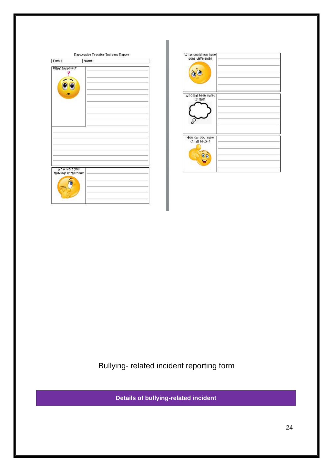| Date:                                  | Name: |  |
|----------------------------------------|-------|--|
| What happened?<br>S                    |       |  |
|                                        |       |  |
|                                        |       |  |
| What were you<br>thinking at the times |       |  |
|                                        |       |  |

| What could you have<br>done differently? |  |  |
|------------------------------------------|--|--|
| Who has been upset.<br>by this?          |  |  |
| How can you make<br>things better?       |  |  |

Bullying- related incident reporting form

**Details of bullying-related incident**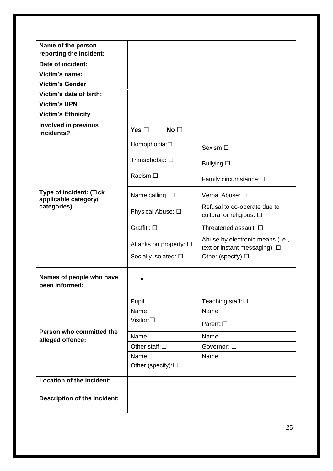| Name of the person<br>reporting the incident:          |                               |                                                                   |  |  |
|--------------------------------------------------------|-------------------------------|-------------------------------------------------------------------|--|--|
| Date of incident:                                      |                               |                                                                   |  |  |
| Victim's name:                                         |                               |                                                                   |  |  |
| <b>Victim's Gender</b>                                 |                               |                                                                   |  |  |
| Victim's date of birth:                                |                               |                                                                   |  |  |
| <b>Victim's UPN</b>                                    |                               |                                                                   |  |  |
| <b>Victim's Ethnicity</b>                              |                               |                                                                   |  |  |
| <b>Involved in previous</b><br>incidents?              | Yes $\square$<br>No $\square$ |                                                                   |  |  |
|                                                        | Homophobia: <sup>[]</sup>     | Sexism:□                                                          |  |  |
|                                                        | Transphobia: □                | Bullying:□                                                        |  |  |
|                                                        | Racism:□                      | Family circumstance: $\Box$                                       |  |  |
| <b>Type of incident: (Tick</b><br>applicable category/ | Name calling: □               | Verbal Abuse: □                                                   |  |  |
| categories)                                            | Physical Abuse: □             | Refusal to co-operate due to<br>cultural or religious: □          |  |  |
|                                                        | Graffiti: □                   | Threatened assault: □                                             |  |  |
|                                                        | Attacks on property: □        | Abuse by electronic means (i.e.,<br>text or instant messaging): □ |  |  |
|                                                        | Socially isolated: $\square$  | Other (specify):□                                                 |  |  |
| Names of people who have<br>been informed:             |                               |                                                                   |  |  |
|                                                        | $P$ upil: $\Box$              | Teaching staff: $\square$                                         |  |  |
|                                                        | Name                          | Name                                                              |  |  |
|                                                        | Visitor: $\square$            | Parent: $\square$                                                 |  |  |
| Person who committed the<br>alleged offence:           | Name                          | Name                                                              |  |  |
|                                                        | Other staff: $\square$        | Governor: □                                                       |  |  |
|                                                        | Name                          | Name                                                              |  |  |
|                                                        | Other (specify): $\square$    |                                                                   |  |  |
| Location of the incident:                              |                               |                                                                   |  |  |
| <b>Description of the incident:</b>                    |                               |                                                                   |  |  |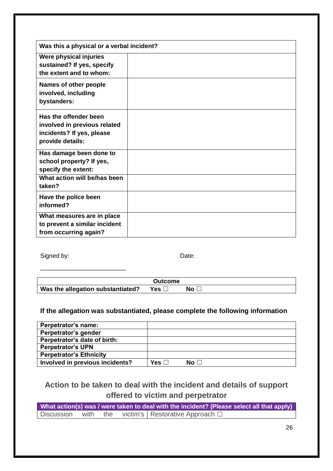| Was this a physical or a verbal incident?                                                                  |  |
|------------------------------------------------------------------------------------------------------------|--|
| Were physical injuries<br>sustained? If yes, specify<br>the extent and to whom:                            |  |
| Names of other people<br>involved, including<br>bystanders:                                                |  |
| Has the offender been<br>involved in previous related<br>incidents? If yes, please<br>provide details:     |  |
| Has damage been done to<br>school property? If yes,<br>specify the extent:<br>What action will be/has been |  |
| taken?<br>Have the police been                                                                             |  |
| informed?                                                                                                  |  |
| What measures are in place<br>to prevent a similar incident<br>from occurring again?                       |  |

Signed by: Date:

\_\_\_\_\_\_\_\_\_\_\_\_\_\_\_\_\_\_\_\_\_\_\_\_\_

|                                   | Outcome |     |  |
|-----------------------------------|---------|-----|--|
| Was the allegation substantiated? | _ Yes ∟ | No. |  |

#### **If the allegation was substantiated, please complete the following information**

| Perpetrator's name:             |               |                 |
|---------------------------------|---------------|-----------------|
| Perpetrator's gender            |               |                 |
| Perpetrator's date of birth:    |               |                 |
| <b>Perpetrator's UPN</b>        |               |                 |
| <b>Perpetrator's Ethnicity</b>  |               |                 |
| Involved in previous incidents? | Yes $\square$ | No <sub>1</sub> |

### **Action to be taken to deal with the incident and details of support offered to victim and perpetrator**

|  |  | What action(s) was / were taken to deal with the incident? (Please select all that apply) |
|--|--|-------------------------------------------------------------------------------------------|
|  |  | Discussion with the victim's Restorative Approach $\Box$                                  |